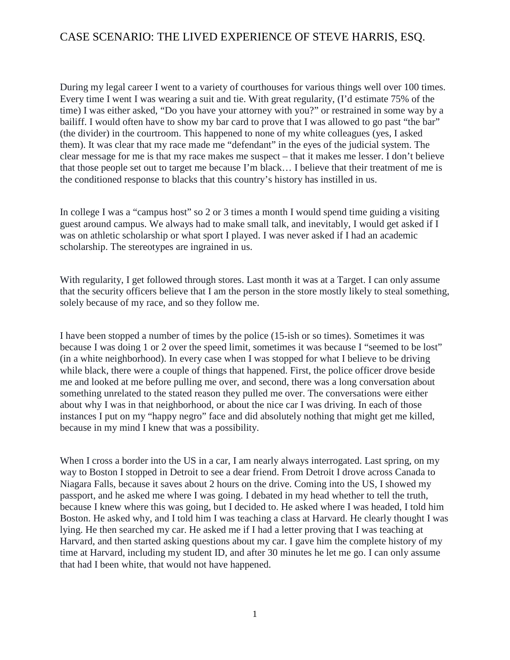During my legal career I went to a variety of courthouses for various things well over 100 times. Every time I went I was wearing a suit and tie. With great regularity, (I'd estimate 75% of the time) I was either asked, "Do you have your attorney with you?" or restrained in some way by a bailiff. I would often have to show my bar card to prove that I was allowed to go past "the bar" (the divider) in the courtroom. This happened to none of my white colleagues (yes, I asked them). It was clear that my race made me "defendant" in the eyes of the judicial system. The clear message for me is that my race makes me suspect – that it makes me lesser. I don't believe that those people set out to target me because I'm black… I believe that their treatment of me is the conditioned response to blacks that this country's history has instilled in us.

In college I was a "campus host" so 2 or 3 times a month I would spend time guiding a visiting guest around campus. We always had to make small talk, and inevitably, I would get asked if I was on athletic scholarship or what sport I played. I was never asked if I had an academic scholarship. The stereotypes are ingrained in us.

With regularity, I get followed through stores. Last month it was at a Target. I can only assume that the security officers believe that I am the person in the store mostly likely to steal something, solely because of my race, and so they follow me.

I have been stopped a number of times by the police (15-ish or so times). Sometimes it was because I was doing 1 or 2 over the speed limit, sometimes it was because I "seemed to be lost" (in a white neighborhood). In every case when I was stopped for what I believe to be driving while black, there were a couple of things that happened. First, the police officer drove beside me and looked at me before pulling me over, and second, there was a long conversation about something unrelated to the stated reason they pulled me over. The conversations were either about why I was in that neighborhood, or about the nice car I was driving. In each of those instances I put on my "happy negro" face and did absolutely nothing that might get me killed, because in my mind I knew that was a possibility.

When I cross a border into the US in a car, I am nearly always interrogated. Last spring, on my way to Boston I stopped in Detroit to see a dear friend. From Detroit I drove across Canada to Niagara Falls, because it saves about 2 hours on the drive. Coming into the US, I showed my passport, and he asked me where I was going. I debated in my head whether to tell the truth, because I knew where this was going, but I decided to. He asked where I was headed, I told him Boston. He asked why, and I told him I was teaching a class at Harvard. He clearly thought I was lying. He then searched my car. He asked me if I had a letter proving that I was teaching at Harvard, and then started asking questions about my car. I gave him the complete history of my time at Harvard, including my student ID, and after 30 minutes he let me go. I can only assume that had I been white, that would not have happened.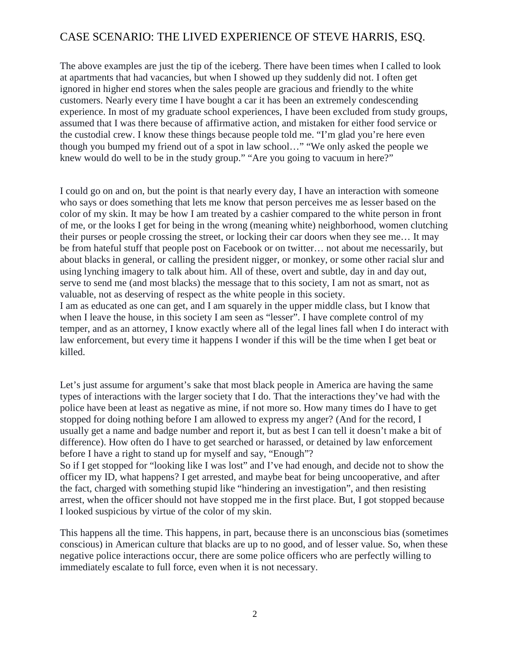The above examples are just the tip of the iceberg. There have been times when I called to look at apartments that had vacancies, but when I showed up they suddenly did not. I often get ignored in higher end stores when the sales people are gracious and friendly to the white customers. Nearly every time I have bought a car it has been an extremely condescending experience. In most of my graduate school experiences, I have been excluded from study groups, assumed that I was there because of affirmative action, and mistaken for either food service or the custodial crew. I know these things because people told me. "I'm glad you're here even though you bumped my friend out of a spot in law school…" "We only asked the people we knew would do well to be in the study group." "Are you going to vacuum in here?"

I could go on and on, but the point is that nearly every day, I have an interaction with someone who says or does something that lets me know that person perceives me as lesser based on the color of my skin. It may be how I am treated by a cashier compared to the white person in front of me, or the looks I get for being in the wrong (meaning white) neighborhood, women clutching their purses or people crossing the street, or locking their car doors when they see me… It may be from hateful stuff that people post on Facebook or on twitter… not about me necessarily, but about blacks in general, or calling the president nigger, or monkey, or some other racial slur and using lynching imagery to talk about him. All of these, overt and subtle, day in and day out, serve to send me (and most blacks) the message that to this society, I am not as smart, not as valuable, not as deserving of respect as the white people in this society.

I am as educated as one can get, and I am squarely in the upper middle class, but I know that when I leave the house, in this society I am seen as "lesser". I have complete control of my temper, and as an attorney, I know exactly where all of the legal lines fall when I do interact with law enforcement, but every time it happens I wonder if this will be the time when I get beat or killed.

Let's just assume for argument's sake that most black people in America are having the same types of interactions with the larger society that I do. That the interactions they've had with the police have been at least as negative as mine, if not more so. How many times do I have to get stopped for doing nothing before I am allowed to express my anger? (And for the record, I usually get a name and badge number and report it, but as best I can tell it doesn't make a bit of difference). How often do I have to get searched or harassed, or detained by law enforcement before I have a right to stand up for myself and say, "Enough"?

So if I get stopped for "looking like I was lost" and I've had enough, and decide not to show the officer my ID, what happens? I get arrested, and maybe beat for being uncooperative, and after the fact, charged with something stupid like "hindering an investigation", and then resisting arrest, when the officer should not have stopped me in the first place. But, I got stopped because I looked suspicious by virtue of the color of my skin.

This happens all the time. This happens, in part, because there is an unconscious bias (sometimes conscious) in American culture that blacks are up to no good, and of lesser value. So, when these negative police interactions occur, there are some police officers who are perfectly willing to immediately escalate to full force, even when it is not necessary.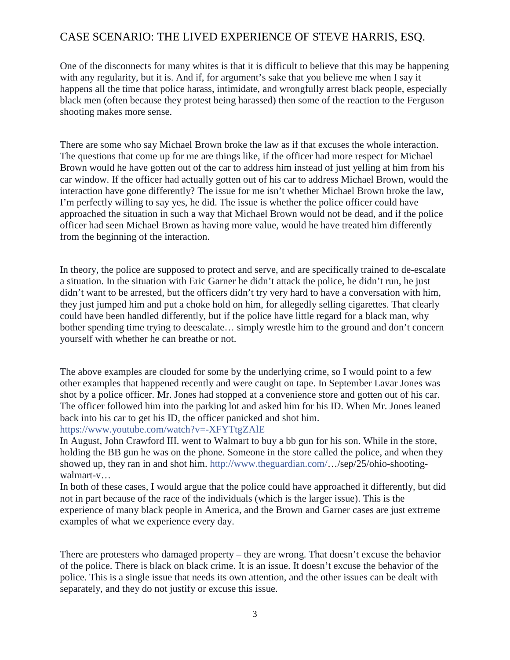One of the disconnects for many whites is that it is difficult to believe that this may be happening with any regularity, but it is. And if, for argument's sake that you believe me when I say it happens all the time that police harass, intimidate, and wrongfully arrest black people, especially black men (often because they protest being harassed) then some of the reaction to the Ferguson shooting makes more sense.

There are some who say Michael Brown broke the law as if that excuses the whole interaction. The questions that come up for me are things like, if the officer had more respect for Michael Brown would he have gotten out of the car to address him instead of just yelling at him from his car window. If the officer had actually gotten out of his car to address Michael Brown, would the interaction have gone differently? The issue for me isn't whether Michael Brown broke the law, I'm perfectly willing to say yes, he did. The issue is whether the police officer could have approached the situation in such a way that Michael Brown would not be dead, and if the police officer had seen Michael Brown as having more value, would he have treated him differently from the beginning of the interaction.

In theory, the police are supposed to protect and serve, and are specifically trained to de-escalate a situation. In the situation with Eric Garner he didn't attack the police, he didn't run, he just didn't want to be arrested, but the officers didn't try very hard to have a conversation with him, they just jumped him and put a choke hold on him, for allegedly selling cigarettes. That clearly could have been handled differently, but if the police have little regard for a black man, why bother spending time trying to deescalate... simply wrestle him to the ground and don't concern yourself with whether he can breathe or not.

The above examples are clouded for some by the underlying crime, so I would point to a few other examples that happened recently and were caught on tape. In September Lavar Jones was shot by a police officer. Mr. Jones had stopped at a convenience store and gotten out of his car. The officer followed him into the parking lot and asked him for his ID. When Mr. Jones leaned back into his car to get his ID, the officer panicked and shot him.

#### https://www.youtube.com/watch?v=-XFYTtgZAlE

In August, John Crawford III. went to Walmart to buy a bb gun for his son. While in the store, holding the BB gun he was on the phone. Someone in the store called the police, and when they showed up, they ran in and shot him. http://www.theguardian.com/…/sep/25/ohio-shootingwalmart-v…

In both of these cases, I would argue that the police could have approached it differently, but did not in part because of the race of the individuals (which is the larger issue). This is the experience of many black people in America, and the Brown and Garner cases are just extreme examples of what we experience every day.

There are protesters who damaged property – they are wrong. That doesn't excuse the behavior of the police. There is black on black crime. It is an issue. It doesn't excuse the behavior of the police. This is a single issue that needs its own attention, and the other issues can be dealt with separately, and they do not justify or excuse this issue.